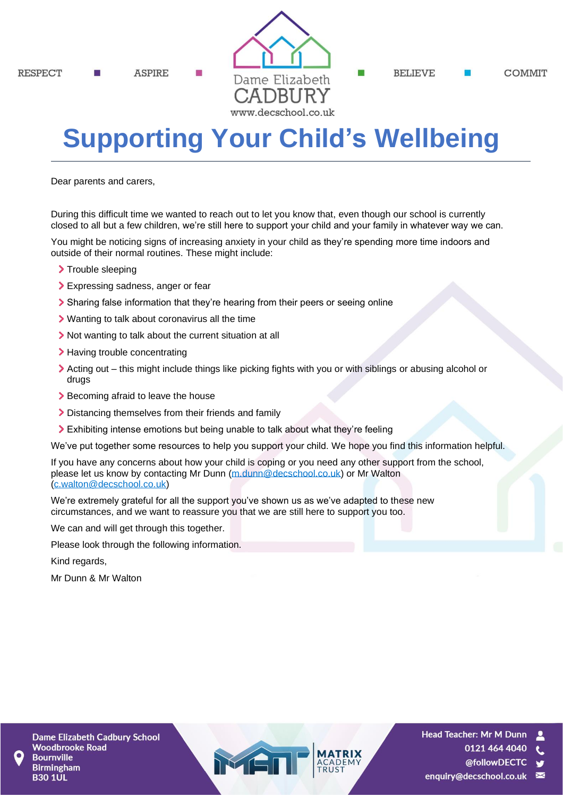**RESPECT** 

**ASPIRE** 



**RELIEVE** 

**COMMIT** 

# **Supporting Your Child's Wellbeing**

Dear parents and carers,

During this difficult time we wanted to reach out to let you know that, even though our school is currently closed to all but a few children, we're still here to support your child and your family in whatever way we can.

You might be noticing signs of increasing anxiety in your child as they're spending more time indoors and outside of their normal routines. These might include:

- > Trouble sleeping
- Expressing sadness, anger or fear
- Sharing false information that they're hearing from their peers or seeing online
- Wanting to talk about coronavirus all the time
- If Not wanting to talk about the current situation at all
- > Having trouble concentrating
- Acting out this might include things like picking fights with you or with siblings or abusing alcohol or drugs
- Becoming afraid to leave the house
- Distancing themselves from their friends and family
- Exhibiting intense emotions but being unable to talk about what they're feeling

We've put together some resources to help you support your child. We hope you find this information helpful.

If you have any concerns about how your child is coping or you need any other support from the school, please let us know by contacting Mr Dunn [\(m.dunn@decschool.co.uk\)](mailto:m.dunn@decschool.co.uk) or Mr Walton [\(c.walton@decschool.co.uk\)](mailto:c.walton@decschool.co.uk)

We're extremely grateful for all the support you've shown us as we've adapted to these new circumstances, and we want to reassure you that we are still here to support you too.

We can and will get through this together.

Please look through the following information.

Kind regards,

Mr Dunn & Mr Walton

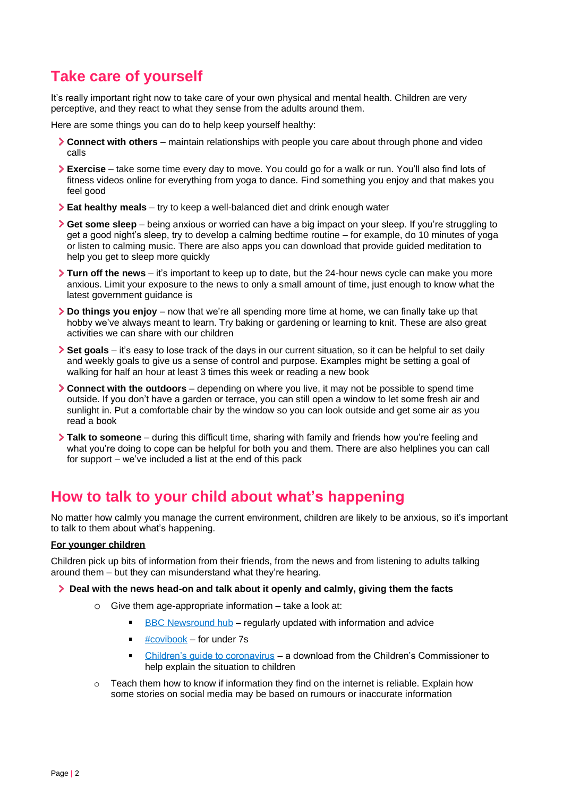## **Take care of yourself**

It's really important right now to take care of your own physical and mental health. Children are very perceptive, and they react to what they sense from the adults around them.

Here are some things you can do to help keep yourself healthy:

- **Connect with others** maintain relationships with people you care about through phone and video calls
- **Exercise**  take some time every day to move. You could go for a walk or run. You'll also find lots of fitness videos online for everything from yoga to dance. Find something you enjoy and that makes you feel good
- **Eat healthy meals**  try to keep a well-balanced diet and drink enough water
- **Get some sleep**  being anxious or worried can have a big impact on your sleep. If you're struggling to get a good night's sleep, try to develop a calming bedtime routine – for example, do 10 minutes of yoga or listen to calming music. There are also apps you can download that provide guided meditation to help you get to sleep more quickly
- **Turn off the news**  it's important to keep up to date, but the 24-hour news cycle can make you more anxious. Limit your exposure to the news to only a small amount of time, just enough to know what the latest government guidance is
- **Do things you enjoy**  now that we're all spending more time at home, we can finally take up that hobby we've always meant to learn. Try baking or gardening or learning to knit. These are also great activities we can share with our children
- **Set goals** it's easy to lose track of the days in our current situation, so it can be helpful to set daily and weekly goals to give us a sense of control and purpose. Examples might be setting a goal of walking for half an hour at least 3 times this week or reading a new book
- **Connect with the outdoors** depending on where you live, it may not be possible to spend time outside. If you don't have a garden or terrace, you can still open a window to let some fresh air and sunlight in. Put a comfortable chair by the window so you can look outside and get some air as you read a book
- **Talk to someone**  during this difficult time, sharing with family and friends how you're feeling and what you're doing to cope can be helpful for both you and them. There are also helplines you can call for support – we've included a list at the end of this pack

## **How to talk to your child about what's happening**

No matter how calmly you manage the current environment, children are likely to be anxious, so it's important to talk to them about what's happening.

#### **For younger children**

Children pick up bits of information from their friends, from the news and from listening to adults talking around them – but they can misunderstand what they're hearing.

#### **Deal with the news head-on and talk about it openly and calmly, giving them the facts**

- o Give them age-appropriate information take a look at:
	- $\blacksquare$ [BBC Newsround hub](https://www.bbc.co.uk/newsround/51204456) – regularly updated with information and advice
	- [#covibook](https://www.mindheart.co/descargables) for under 7s  $\blacksquare$
	- $\blacksquare$ [Children's guide to coronavirus](https://www.childrenscommissioner.gov.uk/publication/childrens-guide-to-coronavirus/) – a download from the Children's Commissioner to help explain the situation to children
- $\circ$  Teach them how to know if information they find on the internet is reliable. Explain how some stories on social media may be based on rumours or inaccurate information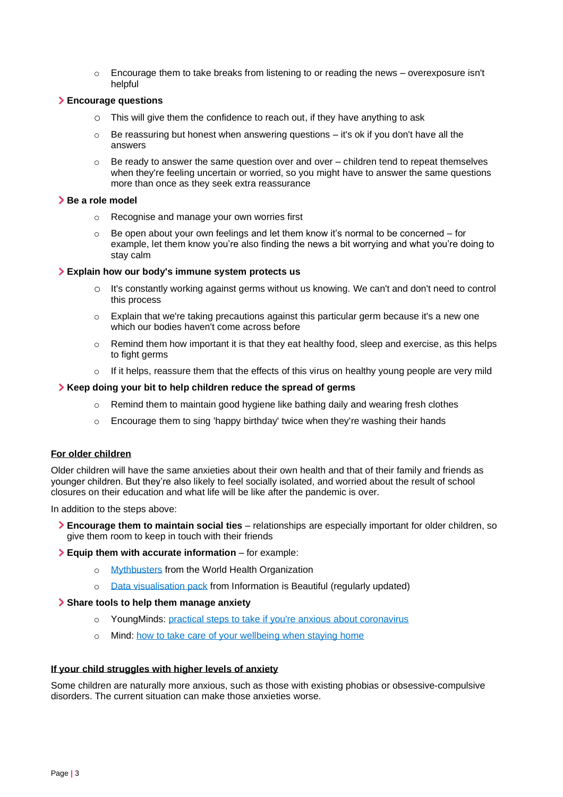o Encourage them to take breaks from listening to or reading the news – overexposure isn't helpful

#### **Encourage questions**

- o This will give them the confidence to reach out, if they have anything to ask
- $\circ$  Be reassuring but honest when answering questions it's ok if you don't have all the answers
- $\circ$  Be ready to answer the same question over and over children tend to repeat themselves when they're feeling uncertain or worried, so you might have to answer the same questions more than once as they seek extra reassurance

#### **Be a role model**

- o Recognise and manage your own worries first
- $\circ$  Be open about your own feelings and let them know it's normal to be concerned for example, let them know you're also finding the news a bit worrying and what you're doing to stay calm

#### **Explain how our body's immune system protects us**

- It's constantly working against germs without us knowing. We can't and don't need to control this process
- $\circ$  Explain that we're taking precautions against this particular germ because it's a new one which our bodies haven't come across before
- $\circ$  Remind them how important it is that they eat healthy food, sleep and exercise, as this helps to fight germs
- $\circ$  If it helps, reassure them that the effects of this virus on healthy young people are very mild

#### **Keep doing your bit to help children reduce the spread of germs**

- $\circ$  Remind them to maintain good hygiene like bathing daily and wearing fresh clothes
- $\circ$  Encourage them to sing 'happy birthday' twice when they're washing their hands

#### **For older children**

Older children will have the same anxieties about their own health and that of their family and friends as younger children. But they're also likely to feel socially isolated, and worried about the result of school closures on their education and what life will be like after the pandemic is over.

In addition to the steps above:

**Encourage them to maintain social ties** – relationships are especially important for older children, so give them room to keep in touch with their friends

#### **Equip them with accurate information** – for example:

- o [Mythbusters](https://www.who.int/emergencies/diseases/novel-coronavirus-2019/advice-for-public/myth-busters) from the World Health Organization
- o [Data visualisation pack](https://informationisbeautiful.net/visualizations/covid-19-coronavirus-infographic-datapack/) from Information is Beautiful (regularly updated)

#### **Share tools to help them manage anxiety**

- o YoungMinds: [practical steps to take if you're anxious about coronavirus](https://youngminds.org.uk/blog/what-to-do-if-you-re-anxious-about-coronavirus/)
- o Mind: [how to take care of your wellbeing when staying home](https://www.mind.org.uk/information-support/coronavirus-and-your-wellbeing)

#### **If your child struggles with higher levels of anxiety**

Some children are naturally more anxious, such as those with existing phobias or obsessive-compulsive disorders. The current situation can make those anxieties worse.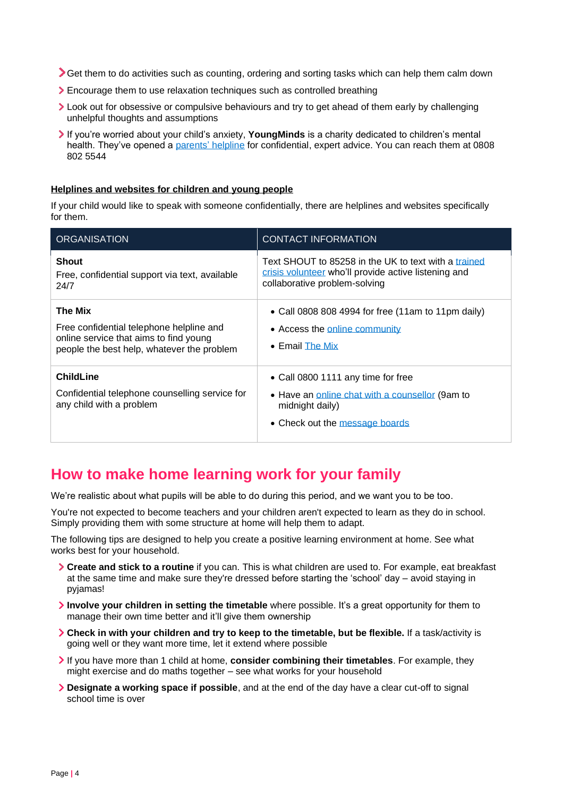Get them to do activities such as counting, ordering and sorting tasks which can help them calm down

- Encourage them to use relaxation techniques such as controlled breathing
- Look out for obsessive or compulsive behaviours and try to get ahead of them early by challenging unhelpful thoughts and assumptions
- If you're worried about your child's anxiety, **YoungMinds** is a charity dedicated to children's mental health. They've opened a [parents'](https://youngminds.org.uk/find-help/for-parents/parents-helpline/) helpline for confidential, expert advice. You can reach them at 0808 802 5544

#### **Helplines and websites for children and young people**

If your child would like to speak with someone confidentially, there are helplines and websites specifically for them.

| <b>ORGANISATION</b>                                                                                                                         | <b>CONTACT INFORMATION</b>                                                                                                                    |
|---------------------------------------------------------------------------------------------------------------------------------------------|-----------------------------------------------------------------------------------------------------------------------------------------------|
| <b>Shout</b><br>Free, confidential support via text, available<br>24/7                                                                      | Text SHOUT to 85258 in the UK to text with a trained<br>crisis volunteer who'll provide active listening and<br>collaborative problem-solving |
| The Mix<br>Free confidential telephone helpline and<br>online service that aims to find young<br>people the best help, whatever the problem | • Call 0808 808 4994 for free (11am to 11pm daily)<br>• Access the online community<br>$\bullet$ Email The Mix                                |
| <b>ChildLine</b><br>Confidential telephone counselling service for<br>any child with a problem                                              | • Call 0800 1111 any time for free<br>• Have an online chat with a counsellor (9am to<br>midnight daily)<br>• Check out the message boards    |

## **How to make home learning work for your family**

We're realistic about what pupils will be able to do during this period, and we want you to be too.

You're not expected to become teachers and your children aren't expected to learn as they do in school. Simply providing them with some structure at home will help them to adapt.

The following tips are designed to help you create a positive learning environment at home. See what works best for your household.

- **Create and stick to a routine** if you can. This is what children are used to. For example, eat breakfast at the same time and make sure they're dressed before starting the 'school' day – avoid staying in pyjamas!
- **Involve your children in setting the timetable** where possible. It's a great opportunity for them to manage their own time better and it'll give them ownership
- **Check in with your children and try to keep to the timetable, but be flexible.** If a task/activity is going well or they want more time, let it extend where possible
- If you have more than 1 child at home, **consider combining their timetables**. For example, they might exercise and do maths together – see what works for your household
- **Designate a working space if possible**, and at the end of the day have a clear cut-off to signal school time is over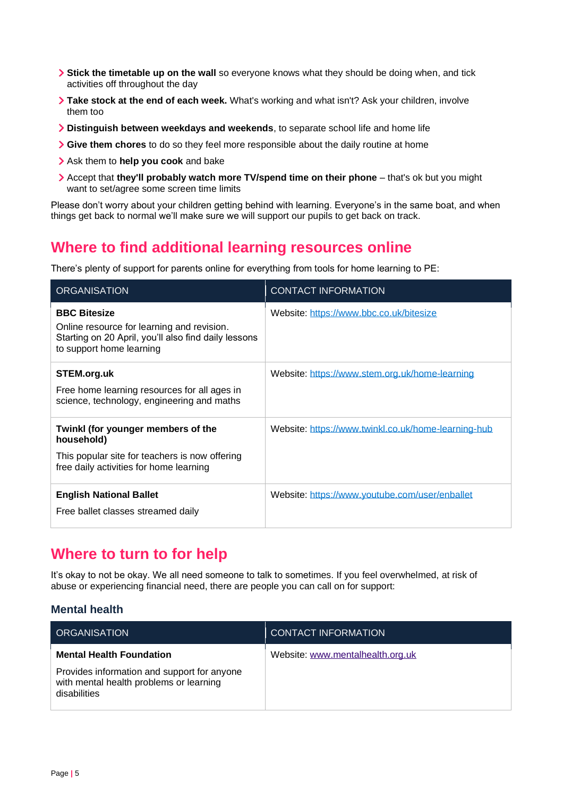- **Stick the timetable up on the wall** so everyone knows what they should be doing when, and tick activities off throughout the day
- **Take stock at the end of each week.** What's working and what isn't? Ask your children, involve them too
- **Distinguish between weekdays and weekends**, to separate school life and home life
- **Give them chores** to do so they feel more responsible about the daily routine at home
- Ask them to **help you cook** and bake
- Accept that **they'll probably watch more TV/spend time on their phone**  that's ok but you might want to set/agree some screen time limits

Please don't worry about your children getting behind with learning. Everyone's in the same boat, and when things get back to normal we'll make sure we will support our pupils to get back on track.

## **Where to find additional learning resources online**

There's plenty of support for parents online for everything from tools for home learning to PE:

| <b>ORGANISATION</b>                                                                                                                                   | <b>CONTACT INFORMATION</b>                          |
|-------------------------------------------------------------------------------------------------------------------------------------------------------|-----------------------------------------------------|
| <b>BBC Bitesize</b><br>Online resource for learning and revision.<br>Starting on 20 April, you'll also find daily lessons<br>to support home learning | Website: https://www.bbc.co.uk/bitesize             |
| STEM.org.uk<br>Free home learning resources for all ages in<br>science, technology, engineering and maths                                             | Website: https://www.stem.org.uk/home-learning      |
| Twinkl (for younger members of the<br>household)<br>This popular site for teachers is now offering<br>free daily activities for home learning         | Website: https://www.twinkl.co.uk/home-learning-hub |
| <b>English National Ballet</b><br>Free ballet classes streamed daily                                                                                  | Website: https://www.youtube.com/user/enballet      |

## **Where to turn to for help**

It's okay to not be okay. We all need someone to talk to sometimes. If you feel overwhelmed, at risk of abuse or experiencing financial need, there are people you can call on for support:

#### **Mental health**

| <b>ORGANISATION</b>                                                                                    | <b>CONTACT INFORMATION</b>       |
|--------------------------------------------------------------------------------------------------------|----------------------------------|
| <b>Mental Health Foundation</b>                                                                        | Website: www.mentalhealth.org.uk |
| Provides information and support for anyone<br>with mental health problems or learning<br>disabilities |                                  |